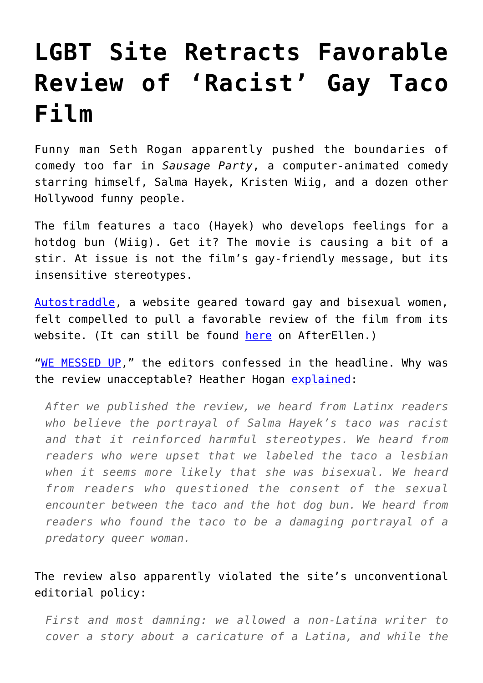## **[LGBT Site Retracts Favorable](https://intellectualtakeout.org/2016/08/lgbt-site-retracts-favorable-review-of-racist-gay-taco-film/) [Review of 'Racist' Gay Taco](https://intellectualtakeout.org/2016/08/lgbt-site-retracts-favorable-review-of-racist-gay-taco-film/) [Film](https://intellectualtakeout.org/2016/08/lgbt-site-retracts-favorable-review-of-racist-gay-taco-film/)**

Funny man Seth Rogan apparently pushed the boundaries of comedy too far in *Sausage Party*, a computer-animated comedy starring himself, Salma Hayek, Kristen Wiig, and a dozen other Hollywood funny people.

The film features a taco (Hayek) who develops feelings for a hotdog bun (Wiig). Get it? The movie is causing a bit of a stir. At issue is not the film's gay-friendly message, but its insensitive stereotypes.

[Autostraddle](http://www.autostraddle.com/), a website geared toward gay and bisexual women, felt compelled to pull a favorable review of the film from its website. (It can still be found [here](http://www.afterellen.com/movies/499019-salma-hayek-surprisingly-endearing-sapphic-taco-sausage-party) on AfterEllen.)

"[WE MESSED UP,](http://www.autostraddle.com/we-messed-up-348709/)" the editors confessed in the headline. Why was the review unacceptable? Heather Hogan [explained:](http://www.autostraddle.com/we-messed-up-348709/)

*After we published the review, we heard from Latinx readers who believe the portrayal of Salma Hayek's taco was racist and that it reinforced harmful stereotypes. We heard from readers who were upset that we labeled the taco a lesbian when it seems more likely that she was bisexual. We heard from readers who questioned the consent of the sexual encounter between the taco and the hot dog bun. We heard from readers who found the taco to be a damaging portrayal of a predatory queer woman.*

The review also apparently violated the site's unconventional editorial policy:

*First and most damning: we allowed a non-Latina writer to cover a story about a caricature of a Latina, and while the*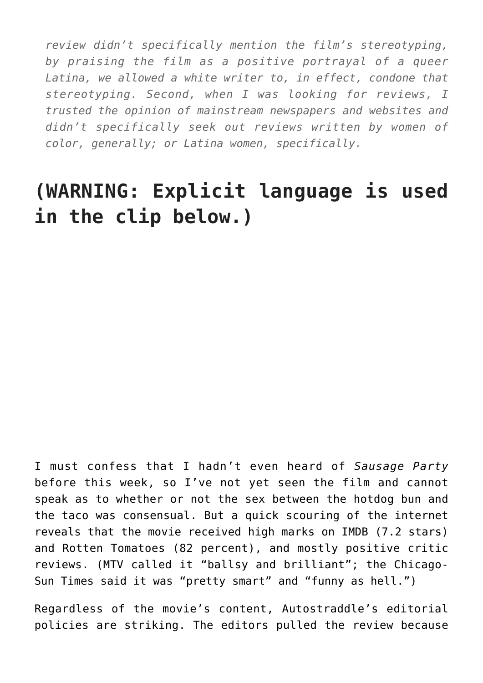*review didn't specifically mention the film's stereotyping, by praising the film as a positive portrayal of a queer Latina, we allowed a white writer to, in effect, condone that stereotyping. Second, when I was looking for reviews, I trusted the opinion of mainstream newspapers and websites and didn't specifically seek out reviews written by women of color, generally; or Latina women, specifically.*

## **(WARNING: Explicit language is used in the clip below.)**

I must confess that I hadn't even heard of *Sausage Party* before this week, so I've not yet seen the film and cannot speak as to whether or not the sex between the hotdog bun and the taco was consensual. But a quick scouring of the internet reveals that the movie received high marks on IMDB (7.2 stars) and Rotten Tomatoes (82 percent), and mostly positive critic reviews. (MTV called it "ballsy and brilliant"; the Chicago-Sun Times said it was "pretty smart" and "funny as hell.")

Regardless of the movie's content, Autostraddle's editorial policies are striking. The editors pulled the review because